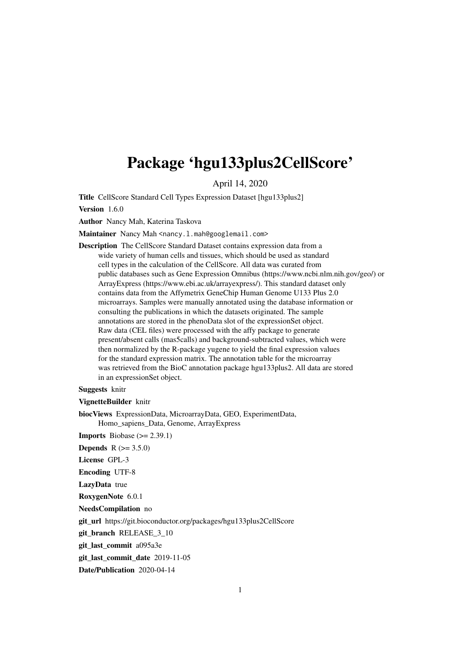## Package 'hgu133plus2CellScore'

April 14, 2020

Title CellScore Standard Cell Types Expression Dataset [hgu133plus2]

Version 1.6.0

Author Nancy Mah, Katerina Taskova

Maintainer Nancy Mah <nancy.l.mah@googlemail.com>

Description The CellScore Standard Dataset contains expression data from a wide variety of human cells and tissues, which should be used as standard cell types in the calculation of the CellScore. All data was curated from public databases such as Gene Expression Omnibus (https://www.ncbi.nlm.nih.gov/geo/) or ArrayExpress (https://www.ebi.ac.uk/arrayexpress/). This standard dataset only contains data from the Affymetrix GeneChip Human Genome U133 Plus 2.0 microarrays. Samples were manually annotated using the database information or consulting the publications in which the datasets originated. The sample annotations are stored in the phenoData slot of the expressionSet object. Raw data (CEL files) were processed with the affy package to generate present/absent calls (mas5calls) and background-subtracted values, which were then normalized by the R-package yugene to yield the final expression values for the standard expression matrix. The annotation table for the microarray was retrieved from the BioC annotation package hgu133plus2. All data are stored in an expressionSet object.

#### Suggests knitr

VignetteBuilder knitr

biocViews ExpressionData, MicroarrayData, GEO, ExperimentData, Homo\_sapiens\_Data, Genome, ArrayExpress

**Imports** Biobase  $(>= 2.39.1)$ 

**Depends**  $R (= 3.5.0)$ 

License GPL-3

Encoding UTF-8

LazyData true

RoxygenNote 6.0.1

NeedsCompilation no

git\_url https://git.bioconductor.org/packages/hgu133plus2CellScore

git branch RELEASE 3 10

git\_last\_commit a095a3e

git\_last\_commit\_date 2019-11-05

Date/Publication 2020-04-14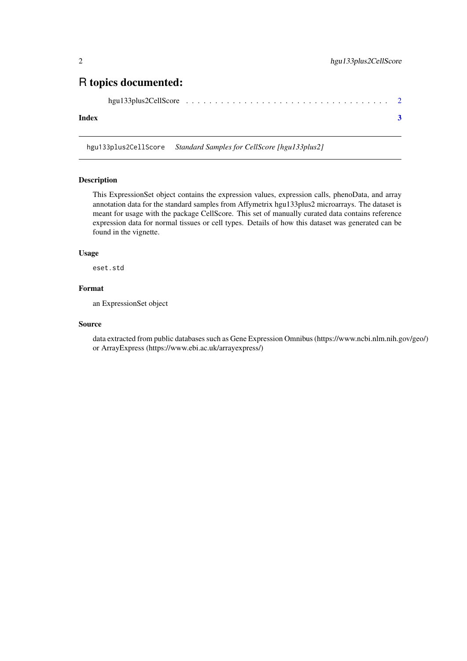### <span id="page-1-0"></span>R topics documented:

|--|--|--|

#### **Index** [3](#page-2-0)

hgu133plus2CellScore *Standard Samples for CellScore [hgu133plus2]*

#### Description

This ExpressionSet object contains the expression values, expression calls, phenoData, and array annotation data for the standard samples from Affymetrix hgu133plus2 microarrays. The dataset is meant for usage with the package CellScore. This set of manually curated data contains reference expression data for normal tissues or cell types. Details of how this dataset was generated can be found in the vignette.

#### Usage

eset.std

#### Format

an ExpressionSet object

#### Source

data extracted from public databases such as Gene Expression Omnibus (https://www.ncbi.nlm.nih.gov/geo/) or ArrayExpress (https://www.ebi.ac.uk/arrayexpress/)